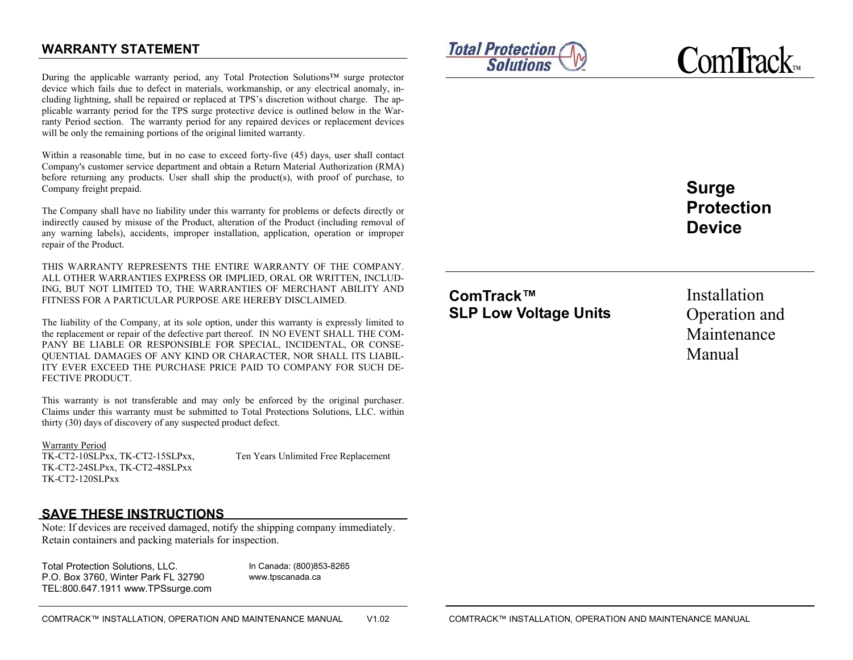# **WARRANTY STATEMENT**

During the applicable warranty period, any Total Protection Solutions™ surge protector device which fails due to defect in materials, workmanship, or any electrical anomaly, including lightning, shall be repaired or replaced at TPS's discretion without charge. The applicable warranty period for the TPS surge protective device is outlined below in the Warranty Period section. The warranty period for any repaired devices or replacement devices will be only the remaining portions of the original limited warranty.

Within a reasonable time, but in no case to exceed forty-five (45) days, user shall contact Company's customer service department and obtain a Return Material Authorization (RMA) before returning any products. User shall ship the product(s), with proof of purchase, to Company freight prepaid.

The Company shall have no liability under this warranty for problems or defects directly or indirectly caused by misuse of the Product, alteration of the Product (including removal of any warning labels), accidents, improper installation, application, operation or improper repair of the Product.

THIS WARRANTY REPRESENTS THE ENTIRE WARRANTY OF THE COMPANY. ALL OTHER WARRANTIES EXPRESS OR IMPLIED, ORAL OR WRITTEN, INCLUD-ING, BUT NOT LIMITED TO, THE WARRANTIES OF MERCHANT ABILITY AND FITNESS FOR A PARTICULAR PURPOSE ARE HEREBY DISCLAIMED.

The liability of the Company, at its sole option, under this warranty is expressly limited to the replacement or repair of the defective part thereof. IN NO EVENT SHALL THE COM-PANY BE LIABLE OR RESPONSIBLE FOR SPECIAL, INCIDENTAL, OR CONSE-QUENTIAL DAMAGES OF ANY KIND OR CHARACTER, NOR SHALL ITS LIABIL-ITY EVER EXCEED THE PURCHASE PRICE PAID TO COMPANY FOR SUCH DE-FECTIVE PRODUCT.

This warranty is not transferable and may only be enforced by the original purchaser. Claims under this warranty must be submitted to Total Protections Solutions, LLC. within thirty (30) days of discovery of any suspected product defect.

Warranty Period TK-CT2-10SLPxx, TK-CT2-15SLPxx, Ten Years Unlimited Free Replacement TK-CT2-24SLPxx, TK-CT2-48SLPxx TK-CT2-120SLPxx

## **SAVE THESE INSTRUCTIONS**

Note: If devices are received damaged, notify the shipping company immediately. Retain containers and packing materials for inspection.

Total Protection Solutions, LLC. P.O. Box 3760, Winter Park FL 32790TEL:800.647.1911 www.TPSsurge.com

In Canada: (800)853-8265www.tpscanada.ca



**C**om**T**rack™

**Surge Protection Device** 

**ComTrack™ SLP Low Voltage Units** 

Installation Operation and Maintenance Manual